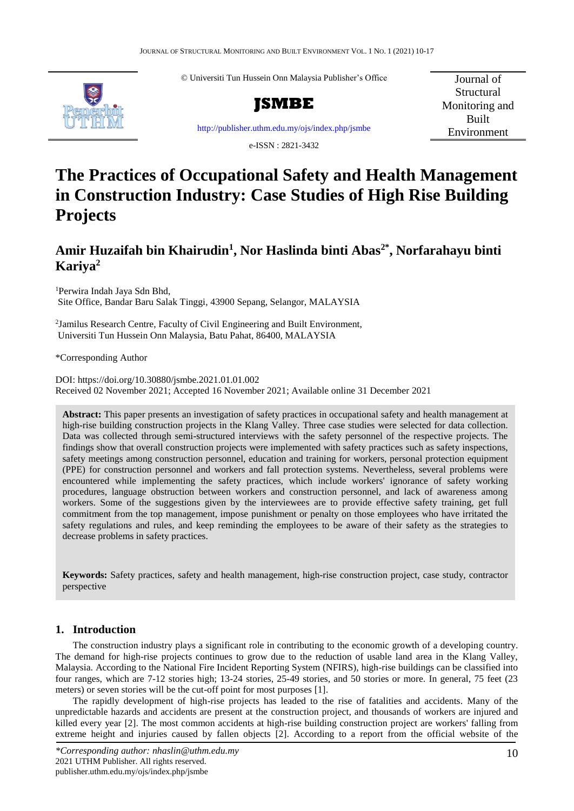© Universiti Tun Hussein Onn Malaysia Publisher's Office



**JSMBE**

<http://publisher.uthm.edu.my/ojs/index.php/jsmbe>

Journal of **Structural** Monitoring and Built Environment

e-ISSN : 2821-3432

# **The Practices of Occupational Safety and Health Management in Construction Industry: Case Studies of High Rise Building Projects**

# **Amir Huzaifah bin Khairudin<sup>1</sup> , Nor Haslinda binti Abas2\* , Norfarahayu binti Kariya<sup>2</sup>**

<sup>1</sup>Perwira Indah Jaya Sdn Bhd, Site Office, Bandar Baru Salak Tinggi, 43900 Sepang, Selangor, MALAYSIA

<sup>2</sup> Jamilus Research Centre, Faculty of Civil Engineering and Built Environment, Universiti Tun Hussein Onn Malaysia, Batu Pahat, 86400, MALAYSIA

\*Corresponding Author

DOI: https://doi.org/10.30880/jsmbe.2021.01.01.002 Received 02 November 2021; Accepted 16 November 2021; Available online 31 December 2021

**Abstract:** This paper presents an investigation of safety practices in occupational safety and health management at high-rise building construction projects in the Klang Valley. Three case studies were selected for data collection. Data was collected through semi-structured interviews with the safety personnel of the respective projects. The findings show that overall construction projects were implemented with safety practices such as safety inspections, safety meetings among construction personnel, education and training for workers, personal protection equipment (PPE) for construction personnel and workers and fall protection systems. Nevertheless, several problems were encountered while implementing the safety practices, which include workers' ignorance of safety working procedures, language obstruction between workers and construction personnel, and lack of awareness among workers. Some of the suggestions given by the interviewees are to provide effective safety training, get full commitment from the top management, impose punishment or penalty on those employees who have irritated the safety regulations and rules, and keep reminding the employees to be aware of their safety as the strategies to decrease problems in safety practices.

**Keywords:** Safety practices, safety and health management, high-rise construction project, case study, contractor perspective

# **1. Introduction**

The construction industry plays a significant role in contributing to the economic growth of a developing country. The demand for high-rise projects continues to grow due to the reduction of usable land area in the Klang Valley, Malaysia. According to the National Fire Incident Reporting System (NFIRS), high-rise buildings can be classified into four ranges, which are 7-12 stories high; 13-24 stories, 25-49 stories, and 50 stories or more. In general, 75 feet (23 meters) or seven stories will be the cut-off point for most purposes [1].

The rapidly development of high-rise projects has leaded to the rise of fatalities and accidents. Many of the unpredictable hazards and accidents are present at the construction project, and thousands of workers are injured and killed every year [2]. The most common accidents at high-rise building construction project are workers' falling from extreme height and injuries caused by fallen objects [2]. According to a report from the official website of the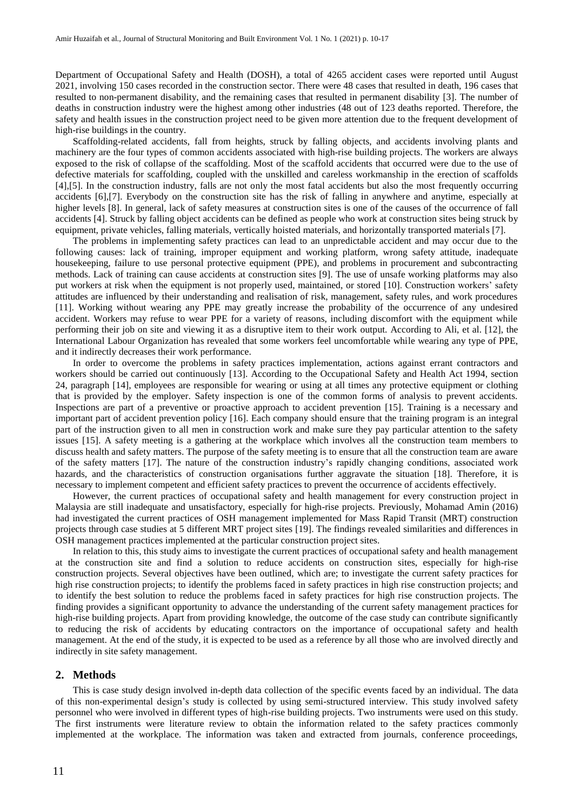Department of Occupational Safety and Health (DOSH), a total of 4265 accident cases were reported until August 2021, involving 150 cases recorded in the construction sector. There were 48 cases that resulted in death, 196 cases that resulted to non-permanent disability, and the remaining cases that resulted in permanent disability [3]. The number of deaths in construction industry were the highest among other industries (48 out of 123 deaths reported. Therefore, the safety and health issues in the construction project need to be given more attention due to the frequent development of high-rise buildings in the country.

Scaffolding-related accidents, fall from heights, struck by falling objects, and accidents involving plants and machinery are the four types of common accidents associated with high-rise building projects. The workers are always exposed to the risk of collapse of the scaffolding. Most of the scaffold accidents that occurred were due to the use of defective materials for scaffolding, coupled with the unskilled and careless workmanship in the erection of scaffolds [4],[5]. In the construction industry, falls are not only the most fatal accidents but also the most frequently occurring accidents [6],[7]. Everybody on the construction site has the risk of falling in anywhere and anytime, especially at higher levels [8]. In general, lack of safety measures at construction sites is one of the causes of the occurrence of fall accidents [4]. Struck by falling object accidents can be defined as people who work at construction sites being struck by equipment, private vehicles, falling materials, vertically hoisted materials, and horizontally transported materials [7].

The problems in implementing safety practices can lead to an unpredictable accident and may occur due to the following causes: lack of training, improper equipment and working platform, wrong safety attitude, inadequate housekeeping, failure to use personal protective equipment (PPE), and problems in procurement and subcontracting methods. Lack of training can cause accidents at construction sites [9]. The use of unsafe working platforms may also put workers at risk when the equipment is not properly used, maintained, or stored [10]. Construction workers' safety attitudes are influenced by their understanding and realisation of risk, management, safety rules, and work procedures [11]. Working without wearing any PPE may greatly increase the probability of the occurrence of any undesired accident. Workers may refuse to wear PPE for a variety of reasons, including discomfort with the equipment while performing their job on site and viewing it as a disruptive item to their work output. According to Ali, et al. [12], the International Labour Organization has revealed that some workers feel uncomfortable while wearing any type of PPE, and it indirectly decreases their work performance.

In order to overcome the problems in safety practices implementation, actions against errant contractors and workers should be carried out continuously [13]. According to the Occupational Safety and Health Act 1994, section 24, paragraph [14], employees are responsible for wearing or using at all times any protective equipment or clothing that is provided by the employer. Safety inspection is one of the common forms of analysis to prevent accidents. Inspections are part of a preventive or proactive approach to accident prevention [15]. Training is a necessary and important part of accident prevention policy [16]. Each company should ensure that the training program is an integral part of the instruction given to all men in construction work and make sure they pay particular attention to the safety issues [15]. A safety meeting is a gathering at the workplace which involves all the construction team members to discuss health and safety matters. The purpose of the safety meeting is to ensure that all the construction team are aware of the safety matters [17]. The nature of the construction industry's rapidly changing conditions, associated work hazards, and the characteristics of construction organisations further aggravate the situation [18]. Therefore, it is necessary to implement competent and efficient safety practices to prevent the occurrence of accidents effectively.

However, the current practices of occupational safety and health management for every construction project in Malaysia are still inadequate and unsatisfactory, especially for high-rise projects. Previously, Mohamad Amin (2016) had investigated the current practices of OSH management implemented for Mass Rapid Transit (MRT) construction projects through case studies at 5 different MRT project sites [19]. The findings revealed similarities and differences in OSH management practices implemented at the particular construction project sites.

In relation to this, this study aims to investigate the current practices of occupational safety and health management at the construction site and find a solution to reduce accidents on construction sites, especially for high-rise construction projects. Several objectives have been outlined, which are; to investigate the current safety practices for high rise construction projects; to identify the problems faced in safety practices in high rise construction projects; and to identify the best solution to reduce the problems faced in safety practices for high rise construction projects. The finding provides a significant opportunity to advance the understanding of the current safety management practices for high-rise building projects. Apart from providing knowledge, the outcome of the case study can contribute significantly to reducing the risk of accidents by educating contractors on the importance of occupational safety and health management. At the end of the study, it is expected to be used as a reference by all those who are involved directly and indirectly in site safety management.

#### **2. Methods**

This is case study design involved in-depth data collection of the specific events faced by an individual. The data of this non-experimental design's study is collected by using semi-structured interview. This study involved safety personnel who were involved in different types of high-rise building projects. Two instruments were used on this study. The first instruments were literature review to obtain the information related to the safety practices commonly implemented at the workplace. The information was taken and extracted from journals, conference proceedings,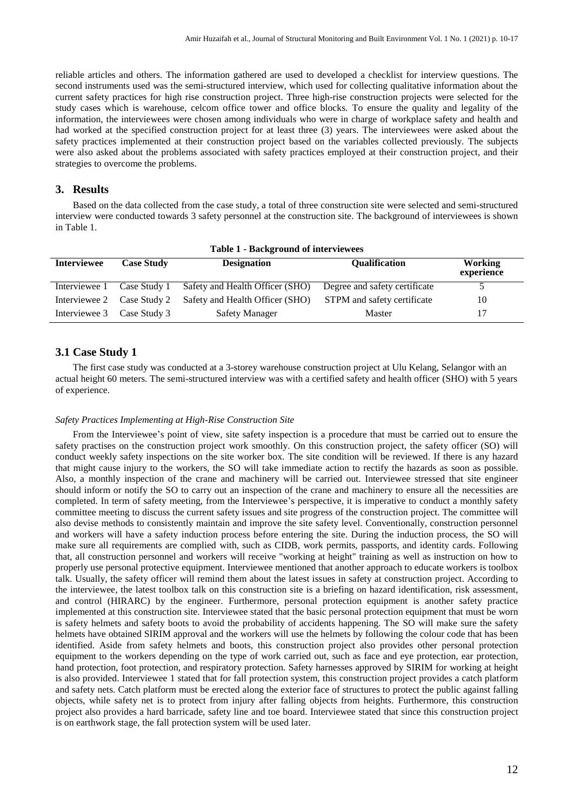reliable articles and others. The information gathered are used to developed a checklist for interview questions. The second instruments used was the semi-structured interview, which used for collecting qualitative information about the current safety practices for high rise construction project. Three high-rise construction projects were selected for the study cases which is warehouse, celcom office tower and office blocks. To ensure the quality and legality of the information, the interviewees were chosen among individuals who were in charge of workplace safety and health and had worked at the specified construction project for at least three (3) years. The interviewees were asked about the safety practices implemented at their construction project based on the variables collected previously. The subjects were also asked about the problems associated with safety practices employed at their construction project, and their strategies to overcome the problems.

### **3. Results**

Based on the data collected from the case study, a total of three construction site were selected and semi-structured interview were conducted towards 3 safety personnel at the construction site. The background of interviewees is shown in Table 1.

| <b>Table 1 - Background of interviewees</b> |                   |                                     |                               |                              |  |
|---------------------------------------------|-------------------|-------------------------------------|-------------------------------|------------------------------|--|
| <b>Interviewee</b>                          | <b>Case Study</b> | <b>Designation</b><br>Qualification |                               | <b>Working</b><br>experience |  |
| Interviewee 1                               | Case Study 1      | Safety and Health Officer (SHO)     | Degree and safety certificate |                              |  |
| Interviewee 2                               | Case Study 2      | Safety and Health Officer (SHO)     | STPM and safety certificate   | 10                           |  |
| Interviewee 3 Case Study 3                  |                   | <b>Safety Manager</b>               | Master                        |                              |  |

# **3.1 Case Study 1**

The first case study was conducted at a 3-storey warehouse construction project at Ulu Kelang, Selangor with an actual height 60 meters. The semi-structured interview was with a certified safety and health officer (SHO) with 5 years of experience.

#### *Safety Practices Implementing at High-Rise Construction Site*

From the Interviewee's point of view, site safety inspection is a procedure that must be carried out to ensure the safety practises on the construction project work smoothly. On this construction project, the safety officer (SO) will conduct weekly safety inspections on the site worker box. The site condition will be reviewed. If there is any hazard that might cause injury to the workers, the SO will take immediate action to rectify the hazards as soon as possible. Also, a monthly inspection of the crane and machinery will be carried out. Interviewee stressed that site engineer should inform or notify the SO to carry out an inspection of the crane and machinery to ensure all the necessities are completed. In term of safety meeting, from the Interviewee's perspective, it is imperative to conduct a monthly safety committee meeting to discuss the current safety issues and site progress of the construction project. The committee will also devise methods to consistently maintain and improve the site safety level. Conventionally, construction personnel and workers will have a safety induction process before entering the site. During the induction process, the SO will make sure all requirements are complied with, such as CIDB, work permits, passports, and identity cards. Following that, all construction personnel and workers will receive "working at height" training as well as instruction on how to properly use personal protective equipment. Interviewee mentioned that another approach to educate workers is toolbox talk. Usually, the safety officer will remind them about the latest issues in safety at construction project. According to the interviewee, the latest toolbox talk on this construction site is a briefing on hazard identification, risk assessment, and control (HIRARC) by the engineer. Furthermore, personal protection equipment is another safety practice implemented at this construction site. Interviewee stated that the basic personal protection equipment that must be worn is safety helmets and safety boots to avoid the probability of accidents happening. The SO will make sure the safety helmets have obtained SIRIM approval and the workers will use the helmets by following the colour code that has been identified. Aside from safety helmets and boots, this construction project also provides other personal protection equipment to the workers depending on the type of work carried out, such as face and eye protection, ear protection, hand protection, foot protection, and respiratory protection. Safety harnesses approved by SIRIM for working at height is also provided. Interviewee 1 stated that for fall protection system, this construction project provides a catch platform and safety nets. Catch platform must be erected along the exterior face of structures to protect the public against falling objects, while safety net is to protect from injury after falling objects from heights. Furthermore, this construction project also provides a hard barricade, safety line and toe board. Interviewee stated that since this construction project is on earthwork stage, the fall protection system will be used later.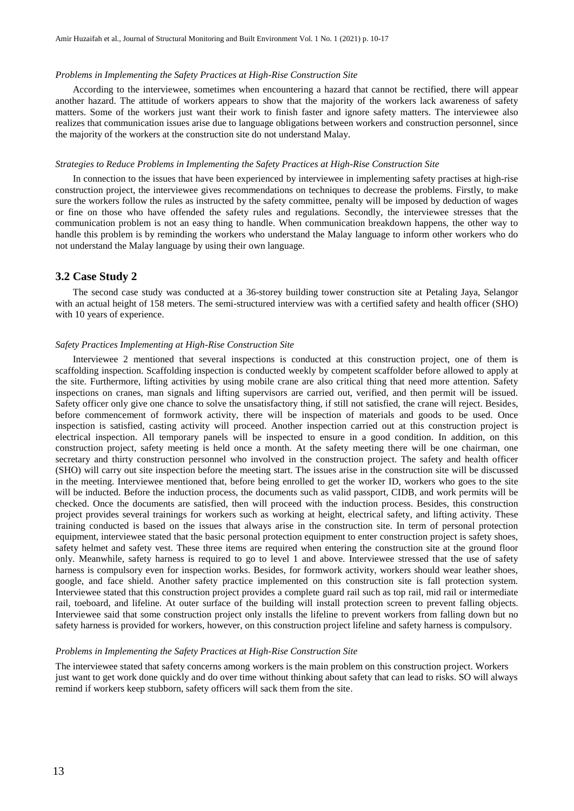#### *Problems in Implementing the Safety Practices at High-Rise Construction Site*

According to the interviewee, sometimes when encountering a hazard that cannot be rectified, there will appear another hazard. The attitude of workers appears to show that the majority of the workers lack awareness of safety matters. Some of the workers just want their work to finish faster and ignore safety matters. The interviewee also realizes that communication issues arise due to language obligations between workers and construction personnel, since the majority of the workers at the construction site do not understand Malay.

#### *Strategies to Reduce Problems in Implementing the Safety Practices at High-Rise Construction Site*

In connection to the issues that have been experienced by interviewee in implementing safety practises at high-rise construction project, the interviewee gives recommendations on techniques to decrease the problems. Firstly, to make sure the workers follow the rules as instructed by the safety committee, penalty will be imposed by deduction of wages or fine on those who have offended the safety rules and regulations. Secondly, the interviewee stresses that the communication problem is not an easy thing to handle. When communication breakdown happens, the other way to handle this problem is by reminding the workers who understand the Malay language to inform other workers who do not understand the Malay language by using their own language.

#### **3.2 Case Study 2**

The second case study was conducted at a 36-storey building tower construction site at Petaling Jaya, Selangor with an actual height of 158 meters. The semi-structured interview was with a certified safety and health officer (SHO) with 10 years of experience.

#### *Safety Practices Implementing at High-Rise Construction Site*

Interviewee 2 mentioned that several inspections is conducted at this construction project, one of them is scaffolding inspection. Scaffolding inspection is conducted weekly by competent scaffolder before allowed to apply at the site. Furthermore, lifting activities by using mobile crane are also critical thing that need more attention. Safety inspections on cranes, man signals and lifting supervisors are carried out, verified, and then permit will be issued. Safety officer only give one chance to solve the unsatisfactory thing, if still not satisfied, the crane will reject. Besides, before commencement of formwork activity, there will be inspection of materials and goods to be used. Once inspection is satisfied, casting activity will proceed. Another inspection carried out at this construction project is electrical inspection. All temporary panels will be inspected to ensure in a good condition. In addition, on this construction project, safety meeting is held once a month. At the safety meeting there will be one chairman, one secretary and thirty construction personnel who involved in the construction project. The safety and health officer (SHO) will carry out site inspection before the meeting start. The issues arise in the construction site will be discussed in the meeting. Interviewee mentioned that, before being enrolled to get the worker ID, workers who goes to the site will be inducted. Before the induction process, the documents such as valid passport, CIDB, and work permits will be checked. Once the documents are satisfied, then will proceed with the induction process. Besides, this construction project provides several trainings for workers such as working at height, electrical safety, and lifting activity. These training conducted is based on the issues that always arise in the construction site. In term of personal protection equipment, interviewee stated that the basic personal protection equipment to enter construction project is safety shoes, safety helmet and safety vest. These three items are required when entering the construction site at the ground floor only. Meanwhile, safety harness is required to go to level 1 and above. Interviewee stressed that the use of safety harness is compulsory even for inspection works. Besides, for formwork activity, workers should wear leather shoes, google, and face shield. Another safety practice implemented on this construction site is fall protection system. Interviewee stated that this construction project provides a complete guard rail such as top rail, mid rail or intermediate rail, toeboard, and lifeline. At outer surface of the building will install protection screen to prevent falling objects. Interviewee said that some construction project only installs the lifeline to prevent workers from falling down but no safety harness is provided for workers, however, on this construction project lifeline and safety harness is compulsory.

#### *Problems in Implementing the Safety Practices at High-Rise Construction Site*

The interviewee stated that safety concerns among workers is the main problem on this construction project. Workers just want to get work done quickly and do over time without thinking about safety that can lead to risks. SO will always remind if workers keep stubborn, safety officers will sack them from the site.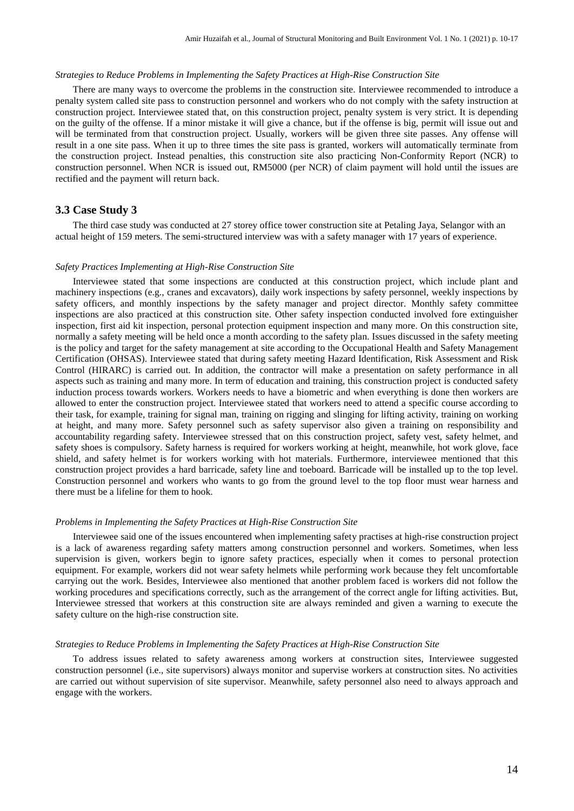#### *Strategies to Reduce Problems in Implementing the Safety Practices at High-Rise Construction Site*

There are many ways to overcome the problems in the construction site. Interviewee recommended to introduce a penalty system called site pass to construction personnel and workers who do not comply with the safety instruction at construction project. Interviewee stated that, on this construction project, penalty system is very strict. It is depending on the guilty of the offense. If a minor mistake it will give a chance, but if the offense is big, permit will issue out and will be terminated from that construction project. Usually, workers will be given three site passes. Any offense will result in a one site pass. When it up to three times the site pass is granted, workers will automatically terminate from the construction project. Instead penalties, this construction site also practicing Non-Conformity Report (NCR) to construction personnel. When NCR is issued out, RM5000 (per NCR) of claim payment will hold until the issues are rectified and the payment will return back.

## **3.3 Case Study 3**

The third case study was conducted at 27 storey office tower construction site at Petaling Jaya, Selangor with an actual height of 159 meters. The semi-structured interview was with a safety manager with 17 years of experience.

#### *Safety Practices Implementing at High-Rise Construction Site*

Interviewee stated that some inspections are conducted at this construction project, which include plant and machinery inspections (e.g., cranes and excavators), daily work inspections by safety personnel, weekly inspections by safety officers, and monthly inspections by the safety manager and project director. Monthly safety committee inspections are also practiced at this construction site. Other safety inspection conducted involved fore extinguisher inspection, first aid kit inspection, personal protection equipment inspection and many more. On this construction site, normally a safety meeting will be held once a month according to the safety plan. Issues discussed in the safety meeting is the policy and target for the safety management at site according to the Occupational Health and Safety Management Certification (OHSAS). Interviewee stated that during safety meeting Hazard Identification, Risk Assessment and Risk Control (HIRARC) is carried out. In addition, the contractor will make a presentation on safety performance in all aspects such as training and many more. In term of education and training, this construction project is conducted safety induction process towards workers. Workers needs to have a biometric and when everything is done then workers are allowed to enter the construction project. Interviewee stated that workers need to attend a specific course according to their task, for example, training for signal man, training on rigging and slinging for lifting activity, training on working at height, and many more. Safety personnel such as safety supervisor also given a training on responsibility and accountability regarding safety. Interviewee stressed that on this construction project, safety vest, safety helmet, and safety shoes is compulsory. Safety harness is required for workers working at height, meanwhile, hot work glove, face shield, and safety helmet is for workers working with hot materials. Furthermore, interviewee mentioned that this construction project provides a hard barricade, safety line and toeboard. Barricade will be installed up to the top level. Construction personnel and workers who wants to go from the ground level to the top floor must wear harness and there must be a lifeline for them to hook.

#### *Problems in Implementing the Safety Practices at High-Rise Construction Site*

Interviewee said one of the issues encountered when implementing safety practises at high-rise construction project is a lack of awareness regarding safety matters among construction personnel and workers. Sometimes, when less supervision is given, workers begin to ignore safety practices, especially when it comes to personal protection equipment. For example, workers did not wear safety helmets while performing work because they felt uncomfortable carrying out the work. Besides, Interviewee also mentioned that another problem faced is workers did not follow the working procedures and specifications correctly, such as the arrangement of the correct angle for lifting activities. But, Interviewee stressed that workers at this construction site are always reminded and given a warning to execute the safety culture on the high-rise construction site.

#### *Strategies to Reduce Problems in Implementing the Safety Practices at High-Rise Construction Site*

To address issues related to safety awareness among workers at construction sites, Interviewee suggested construction personnel (i.e., site supervisors) always monitor and supervise workers at construction sites. No activities are carried out without supervision of site supervisor. Meanwhile, safety personnel also need to always approach and engage with the workers.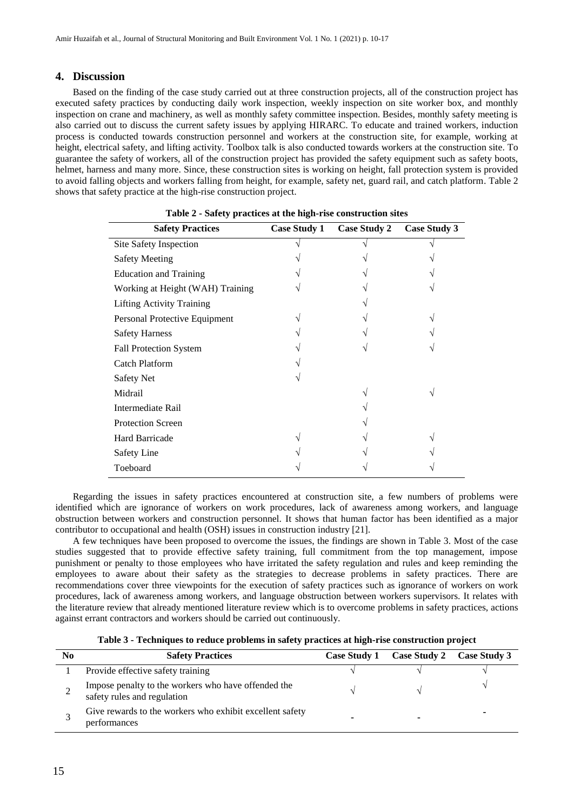# **4. Discussion**

Based on the finding of the case study carried out at three construction projects, all of the construction project has executed safety practices by conducting daily work inspection, weekly inspection on site worker box, and monthly inspection on crane and machinery, as well as monthly safety committee inspection. Besides, monthly safety meeting is also carried out to discuss the current safety issues by applying HIRARC. To educate and trained workers, induction process is conducted towards construction personnel and workers at the construction site, for example, working at height, electrical safety, and lifting activity. Toolbox talk is also conducted towards workers at the construction site. To guarantee the safety of workers, all of the construction project has provided the safety equipment such as safety boots, helmet, harness and many more. Since, these construction sites is working on height, fall protection system is provided to avoid falling objects and workers falling from height, for example, safety net, guard rail, and catch platform. Table 2 shows that safety practice at the high-rise construction project.

| <b>Safety Practices</b>          | <b>Case Study 1</b> | <b>Case Study 2</b> | <b>Case Study 3</b> |
|----------------------------------|---------------------|---------------------|---------------------|
| Site Safety Inspection           |                     |                     |                     |
| <b>Safety Meeting</b>            |                     |                     |                     |
| <b>Education and Training</b>    |                     |                     |                     |
| Working at Height (WAH) Training |                     |                     |                     |
| <b>Lifting Activity Training</b> |                     |                     |                     |
| Personal Protective Equipment    |                     |                     |                     |
| <b>Safety Harness</b>            |                     |                     |                     |
| <b>Fall Protection System</b>    |                     |                     |                     |
| <b>Catch Platform</b>            |                     |                     |                     |
| <b>Safety Net</b>                |                     |                     |                     |
| Midrail                          |                     |                     |                     |
| Intermediate Rail                |                     |                     |                     |
| <b>Protection Screen</b>         |                     |                     |                     |
| Hard Barricade                   |                     |                     |                     |
| <b>Safety Line</b>               |                     |                     |                     |
| Toeboard                         |                     |                     |                     |

|  |  | Table 2 - Safety practices at the high-rise construction sites |  |
|--|--|----------------------------------------------------------------|--|
|  |  |                                                                |  |

Regarding the issues in safety practices encountered at construction site, a few numbers of problems were identified which are ignorance of workers on work procedures, lack of awareness among workers, and language obstruction between workers and construction personnel. It shows that human factor has been identified as a major contributor to occupational and health (OSH) issues in construction industry [21].

A few techniques have been proposed to overcome the issues, the findings are shown in Table 3. Most of the case studies suggested that to provide effective safety training, full commitment from the top management, impose punishment or penalty to those employees who have irritated the safety regulation and rules and keep reminding the employees to aware about their safety as the strategies to decrease problems in safety practices. There are recommendations cover three viewpoints for the execution of safety practices such as ignorance of workers on work procedures, lack of awareness among workers, and language obstruction between workers supervisors. It relates with the literature review that already mentioned literature review which is to overcome problems in safety practices, actions against errant contractors and workers should be carried out continuously.

**Table 3 - Techniques to reduce problems in safety practices at high-rise construction project**

| N <sub>0</sub> | <b>Safety Practices</b>                                                            | Case Study 1 Case Study 2 Case Study 3 |  |
|----------------|------------------------------------------------------------------------------------|----------------------------------------|--|
|                | Provide effective safety training                                                  |                                        |  |
|                | Impose penalty to the workers who have offended the<br>safety rules and regulation |                                        |  |
|                | Give rewards to the workers who exhibit excellent safety<br>performances           |                                        |  |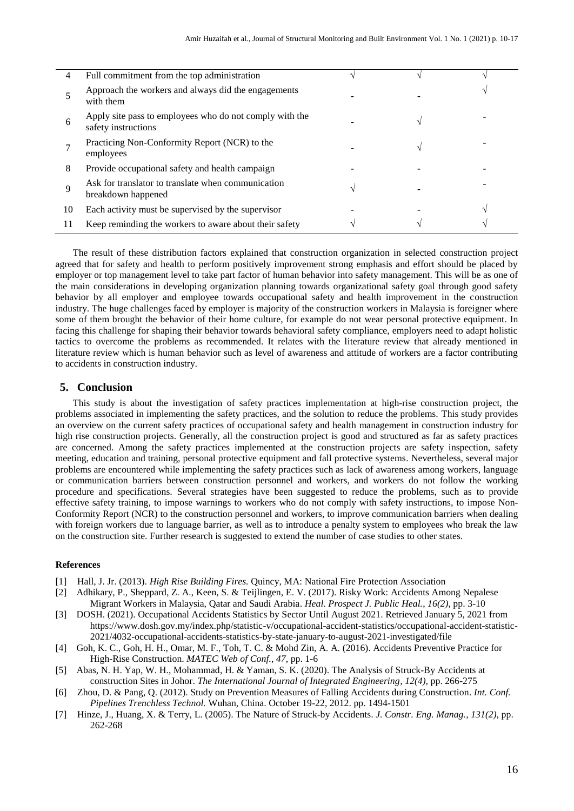| 4  | Full commitment from the top administration                                    |  |  |
|----|--------------------------------------------------------------------------------|--|--|
|    | Approach the workers and always did the engagements<br>with them               |  |  |
| 6  | Apply site pass to employees who do not comply with the<br>safety instructions |  |  |
|    | Practicing Non-Conformity Report (NCR) to the<br>employees                     |  |  |
| 8  | Provide occupational safety and health campaign                                |  |  |
| 9  | Ask for translator to translate when communication<br>breakdown happened       |  |  |
| 10 | Each activity must be supervised by the supervisor                             |  |  |
| 11 | Keep reminding the workers to aware about their safety                         |  |  |

The result of these distribution factors explained that construction organization in selected construction project agreed that for safety and health to perform positively improvement strong emphasis and effort should be placed by employer or top management level to take part factor of human behavior into safety management. This will be as one of the main considerations in developing organization planning towards organizational safety goal through good safety behavior by all employer and employee towards occupational safety and health improvement in the construction industry. The huge challenges faced by employer is majority of the construction workers in Malaysia is foreigner where some of them brought the behavior of their home culture, for example do not wear personal protective equipment. In facing this challenge for shaping their behavior towards behavioral safety compliance, employers need to adapt holistic tactics to overcome the problems as recommended. It relates with the literature review that already mentioned in literature review which is human behavior such as level of awareness and attitude of workers are a factor contributing to accidents in construction industry.

# **5. Conclusion**

This study is about the investigation of safety practices implementation at high-rise construction project, the problems associated in implementing the safety practices, and the solution to reduce the problems. This study provides an overview on the current safety practices of occupational safety and health management in construction industry for high rise construction projects. Generally, all the construction project is good and structured as far as safety practices are concerned. Among the safety practices implemented at the construction projects are safety inspection, safety meeting, education and training, personal protective equipment and fall protective systems. Nevertheless, several major problems are encountered while implementing the safety practices such as lack of awareness among workers, language or communication barriers between construction personnel and workers, and workers do not follow the working procedure and specifications. Several strategies have been suggested to reduce the problems, such as to provide effective safety training, to impose warnings to workers who do not comply with safety instructions, to impose Non-Conformity Report (NCR) to the construction personnel and workers, to improve communication barriers when dealing with foreign workers due to language barrier, as well as to introduce a penalty system to employees who break the law on the construction site. Further research is suggested to extend the number of case studies to other states.

#### **References**

- [1] Hall, J. Jr. (2013). *High Rise Building Fires.* Quincy, MA: National Fire Protection Association
- [2] Adhikary, P., Sheppard, Z. A., Keen, S. & Teijlingen, E. V. (2017). Risky Work: Accidents Among Nepalese Migrant Workers in Malaysia, Qatar and Saudi Arabia. *Heal. Prospect J. Public Heal.*, *16(2)*, pp. 3-10
- [3] DOSH. (2021). Occupational Accidents Statistics by Sector Until August 2021. Retrieved January 5, 2021 from https://www.dosh.gov.my/index.php/statistic-v/occupational-accident-statistics/occupational-accident-statistic-2021/4032-occupational-accidents-statistics-by-state-january-to-august-2021-investigated/file
- [4] Goh, K. C., Goh, H. H., Omar, M. F., Toh, T. C. & Mohd Zin, A. A. (2016). Accidents Preventive Practice for High-Rise Construction. *MATEC Web of Conf.*, *47,* pp. 1-6
- [5] Abas, N. H. Yap, W. H., Mohammad, H. & Yaman, S. K. (2020). The Analysis of Struck-By Accidents at construction Sites in Johor. *The International Journal of Integrated Engineering, 12(4),* pp. 266-275
- [6] Zhou, D. & Pang, Q. (2012). Study on Prevention Measures of Falling Accidents during Construction. *Int. Conf. Pipelines Trenchless Technol.* Wuhan, China. October 19-22, 2012. pp. 1494-1501
- [7] Hinze, J., Huang, X. & Terry, L. (2005). The Nature of Struck-by Accidents. *J. Constr. Eng. Manag.*, *131(2)*, pp. 262-268